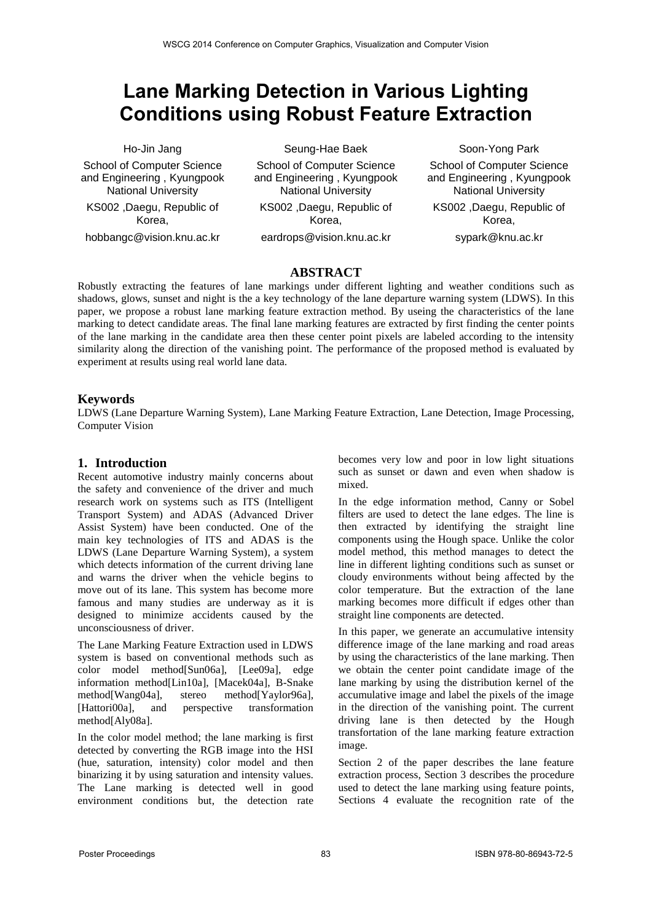# **Lane Marking Detection in Various Lighting Conditions using Robust Feature Extraction**

Ho-Jin Jang School of Computer Science and Engineering , Kyungpook National University KS002 ,Daegu, Republic of Korea, hobbangc@vision.knu.ac.kr Seung-Hae Baek School of Computer Science and Engineering , Kyungpook National University KS002 ,Daegu, Republic of Korea, eardrops@vision.knu.ac.kr Soon-Yong Park School of Computer Science and Engineering , Kyungpook National University KS002 ,Daegu, Republic of Korea, sypark@knu.ac.kr

#### **ABSTRACT**

Robustly extracting the features of lane markings under different lighting and weather conditions such as shadows, glows, sunset and night is the a key technology of the lane departure warning system (LDWS). In this paper, we propose a robust lane marking feature extraction method. By useing the characteristics of the lane marking to detect candidate areas. The final lane marking features are extracted by first finding the center points of the lane marking in the candidate area then these center point pixels are labeled according to the intensity similarity along the direction of the vanishing point. The performance of the proposed method is evaluated by experiment at results using real world lane data.

#### **Keywords**

LDWS (Lane Departure Warning System), Lane Marking Feature Extraction, Lane Detection, Image Processing, Computer Vision

### **1. Introduction**

Recent automotive industry mainly concerns about the safety and convenience of the driver and much research work on systems such as ITS (Intelligent Transport System) and ADAS (Advanced Driver Assist System) have been conducted. One of the main key technologies of ITS and ADAS is the LDWS (Lane Departure Warning System), a system which detects information of the current driving lane and warns the driver when the vehicle begins to move out of its lane. This system has become more famous and many studies are underway as it is designed to minimize accidents caused by the unconsciousness of driver.

The Lane Marking Feature Extraction used in LDWS system is based on conventional methods such as color model method[Sun06a], [Lee09a], edge information method[Lin10a], [Macek04a], B-Snake method[Wang04a], stereo method[Yaylor96a], [Hattori00a], and perspective transformation method[Aly08a].

In the color model method; the lane marking is first detected by converting the RGB image into the HSI (hue, saturation, intensity) color model and then binarizing it by using saturation and intensity values. The Lane marking is detected well in good environment conditions but, the detection rate

becomes very low and poor in low light situations such as sunset or dawn and even when shadow is mixed.

In the edge information method, Canny or Sobel filters are used to detect the lane edges. The line is then extracted by identifying the straight line components using the Hough space. Unlike the color model method, this method manages to detect the line in different lighting conditions such as sunset or cloudy environments without being affected by the color temperature. But the extraction of the lane marking becomes more difficult if edges other than straight line components are detected.

In this paper, we generate an accumulative intensity difference image of the lane marking and road areas by using the characteristics of the lane marking. Then we obtain the center point candidate image of the lane marking by using the distribution kernel of the accumulative image and label the pixels of the image in the direction of the vanishing point. The current driving lane is then detected by the Hough transfortation of the lane marking feature extraction image.

Section 2 of the paper describes the lane feature extraction process, Section 3 describes the procedure used to detect the lane marking using feature points, Sections 4 evaluate the recognition rate of the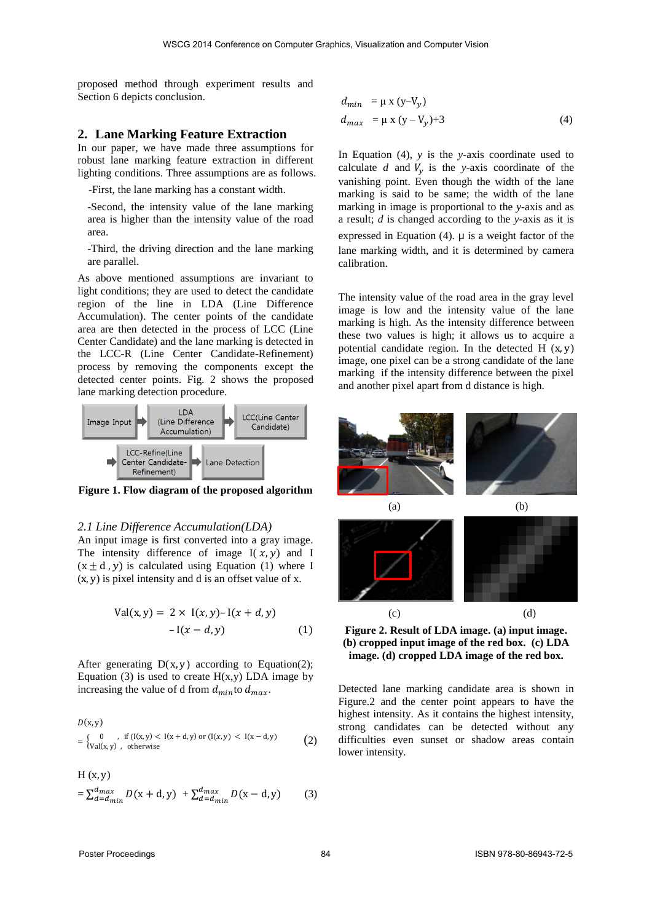proposed method through experiment results and Section 6 depicts conclusion.

#### **2. Lane Marking Feature Extraction**

In our paper, we have made three assumptions for robust lane marking feature extraction in different lighting conditions. Three assumptions are as follows.

-First, the lane marking has a constant width.

-Second, the intensity value of the lane marking area is higher than the intensity value of the road area.

-Third, the driving direction and the lane marking are parallel.

As above mentioned assumptions are invariant to light conditions; they are used to detect the candidate region of the line in LDA (Line Difference Accumulation). The center points of the candidate area are then detected in the process of LCC (Line Center Candidate) and the lane marking is detected in the LCC-R (Line Center Candidate-Refinement) process by removing the components except the detected center points. Fig. 2 shows the proposed lane marking detection procedure.



**Figure 1. Flow diagram of the proposed algorithm**

#### *2.1 Line Difference Accumulation(LDA)*

An input image is first converted into a gray image. The intensity difference of image  $I(x, y)$  and I  $(x \pm d, y)$  is calculated using Equation (1) where I  $(x, y)$  is pixel intensity and d is an offset value of x.

$$
Val(x, y) = 2 \times I(x, y) - I(x + d, y) - I(x - d, y)
$$
 (1)

After generating  $D(x, y)$  according to Equation(2); Equation (3) is used to create  $H(x,y)$  LDA image by increasing the value of d from  $d_{min}$  to  $d_{max}$ .

$$
D(x, y)
$$
  
= 
$$
\begin{cases} 0, & \text{if } (I(x, y) < I(x + d, y) \text{ or } (I(x, y) < I(x - d, y)) \\ Val(x, y), & \text{otherwise} \end{cases}
$$
 (2)

H (x, y)  
= 
$$
\sum_{d=d_{min}}^{d_{max}} D(x+d, y) + \sum_{d=d_{min}}^{d_{max}} D(x-d, y)
$$
 (3)

$$
d_{min} = \mu \times (y - V_y)
$$
  
\n
$$
d_{max} = \mu \times (y - V_y) + 3
$$
\n(4)

In Equation (4), *y* is the *y*-axis coordinate used to calculate  $d$  and  $V_v$  is the *y*-axis coordinate of the vanishing point. Even though the width of the lane marking is said to be same; the width of the lane marking in image is proportional to the *y-*axis and as a result; *d* is changed according to the *y-*axis as it is expressed in Equation  $(4)$ .  $\mu$  is a weight factor of the lane marking width, and it is determined by camera calibration.

The intensity value of the road area in the gray level image is low and the intensity value of the lane marking is high. As the intensity difference between these two values is high; it allows us to acquire a potential candidate region. In the detected  $H(x, y)$ image, one pixel can be a strong candidate of the lane marking if the intensity difference between the pixel and another pixel apart from d distance is high.



**Figure 2. Result of LDA image. (a) input image. (b) cropped input image of the red box. (c) LDA image. (d) cropped LDA image of the red box.**

Detected lane marking candidate area is shown in Figure.2 and the center point appears to have the highest intensity. As it contains the highest intensity, strong candidates can be detected without any difficulties even sunset or shadow areas contain lower intensity.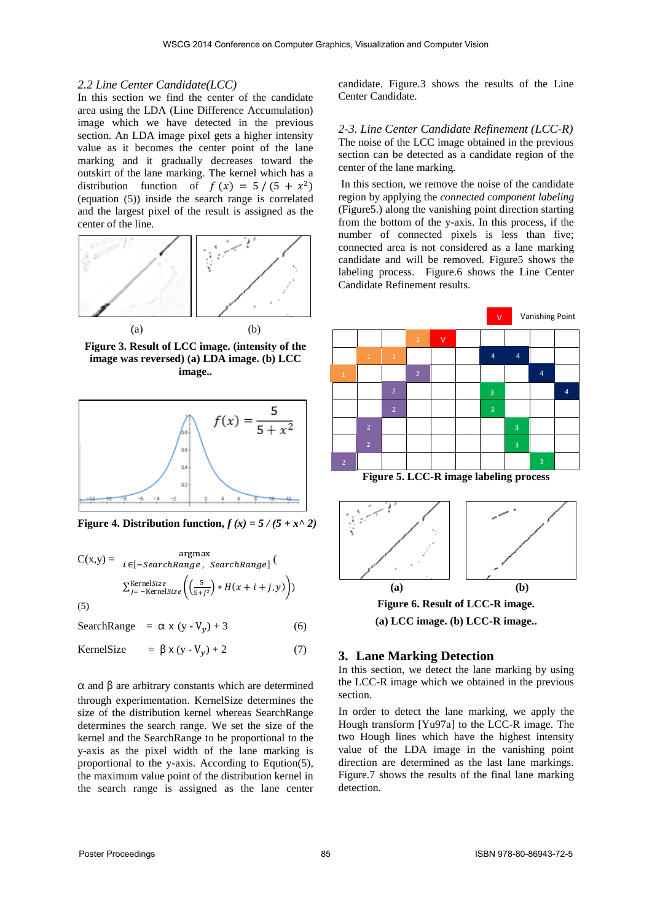#### *2.2 Line Center Candidate(LCC)*

In this section we find the center of the candidate area using the LDA (Line Difference Accumulation) image which we have detected in the previous section. An LDA image pixel gets a higher intensity value as it becomes the center point of the lane marking and it gradually decreases toward the outskirt of the lane marking. The kernel which has a distribution function of  $f(x) = 5/(5 + x^2)$ (equation (5)) inside the search range is correlated and the largest pixel of the result is assigned as the center of the line.



**Figure 3. Result of LCC image. (intensity of the image was reversed) (a) LDA image. (b) LCC image..**



**Figure 4. Distribution function,**  $f(x) = 5/(5 + x^2)$ 

$$
C(x,y) = \underset{i \in [-SearchRange, SearchRange]}{\text{argmax}} \left( \frac{1}{\sum_{j=-KernelSize}^{KernelSize} \left( \frac{5}{5+j^2} \right) * H(x + i + j, y) \right)}
$$
\n
$$
(5)
$$

SearchRange =  $\alpha$  x (y - V<sub>y</sub>) + 3 (6)

KernelSize = 
$$
\beta x (y - V_y) + 2
$$
 (7)

α and β are arbitrary constants which are determined through experimentation. KernelSize determines the size of the distribution kernel whereas SearchRange determines the search range. We set the size of the kernel and the SearchRange to be proportional to the y-axis as the pixel width of the lane marking is proportional to the y-axis. According to Eqution(5), the maximum value point of the distribution kernel in the search range is assigned as the lane center candidate. Figure.3 shows the results of the Line Center Candidate.

*2-3. Line Center Candidate Refinement (LCC-R)* The noise of the LCC image obtained in the previous section can be detected as a candidate region of the center of the lane marking.

In this section, we remove the noise of the candidate region by applying the *connected component labeling* (Figure5.) along the vanishing point direction starting from the bottom of the y-axis. In this process, if the number of connected pixels is less than five; connected area is not considered as a lane marking candidate and will be removed. Figure5 shows the labeling process. Figure.6 shows the Line Center Candidate Refinement results.





**Figure 6. Result of LCC-R image. (a) LCC image. (b) LCC-R image..**

 **(a) (b)**

#### **3. Lane Marking Detection**

In this section, we detect the lane marking by using the LCC-R image which we obtained in the previous section.

In order to detect the lane marking, we apply the Hough transform [Yu97a] to the LCC-R image. The two Hough lines which have the highest intensity value of the LDA image in the vanishing point direction are determined as the last lane markings. Figure.7 shows the results of the final lane marking detection.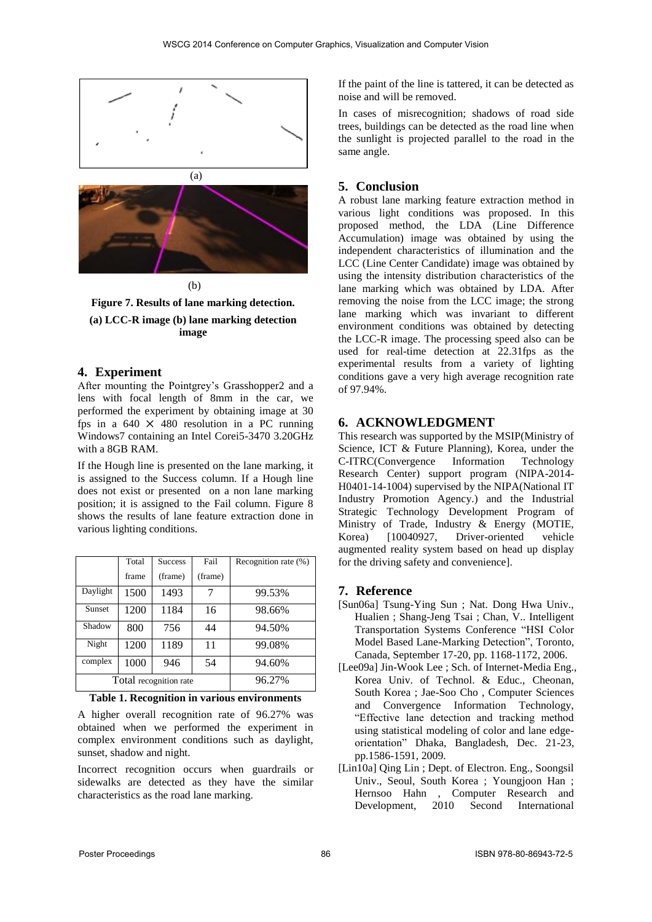

(b)

**Figure 7. Results of lane marking detection. (a) LCC-R image (b) lane marking detection image**

#### **4. Experiment**

After mounting the Pointgrey's Grasshopper2 and a lens with focal length of 8mm in the car, we performed the experiment by obtaining image at 30 fps in a  $640 \times 480$  resolution in a PC running Windows7 containing an Intel Corei5-3470 3.20GHz with a 8GB RAM.

If the Hough line is presented on the lane marking, it is assigned to the Success column. If a Hough line does not exist or presented on a non lane marking position; it is assigned to the Fail column. Figure 8 shows the results of lane feature extraction done in various lighting conditions.

|                        | Total | <b>Success</b> | Fail    | Recognition rate (%) |
|------------------------|-------|----------------|---------|----------------------|
|                        | frame | (frame)        | (frame) |                      |
| Daylight               | 1500  | 1493           | 7       | 99.53%               |
| <b>Sunset</b>          | 1200  | 1184           | 16      | 98.66%               |
| Shadow                 | 800   | 756            | 44      | 94.50%               |
| Night                  | 1200  | 1189           | 11      | 99.08%               |
| complex                | 1000  | 946            | 54      | 94.60%               |
| Total recognition rate |       |                |         | 96.27%               |

**Table 1. Recognition in various environments**

A higher overall recognition rate of 96.27% was obtained when we performed the experiment in complex environment conditions such as daylight, sunset, shadow and night.

Incorrect recognition occurs when guardrails or sidewalks are detected as they have the similar characteristics as the road lane marking.

If the paint of the line is tattered, it can be detected as noise and will be removed.

In cases of misrecognition; shadows of road side trees, buildings can be detected as the road line when the sunlight is projected parallel to the road in the same angle.

## **5. Conclusion**

A robust lane marking feature extraction method in various light conditions was proposed. In this proposed method, the LDA (Line Difference Accumulation) image was obtained by using the independent characteristics of illumination and the LCC (Line Center Candidate) image was obtained by using the intensity distribution characteristics of the lane marking which was obtained by LDA. After removing the noise from the LCC image; the strong lane marking which was invariant to different environment conditions was obtained by detecting the LCC-R image. The processing speed also can be used for real-time detection at 22.31fps as the experimental results from a variety of lighting conditions gave a very high average recognition rate of 97.94%.

# **6. ACKNOWLEDGMENT**

This research was supported by the MSIP(Ministry of Science, ICT & Future Planning), Korea, under the C-ITRC(Convergence Information Technology C-ITRC(Convergence Research Center) support program (NIPA-2014- H0401-14-1004) supervised by the NIPA(National IT Industry Promotion Agency.) and the Industrial Strategic Technology Development Program of Ministry of Trade, Industry & Energy (MOTIE, Korea) [10040927, Driver-oriented vehicle augmented reality system based on head up display for the driving safety and convenience].

# **7. Reference**

- [Sun06a] Tsung-Ying Sun ; Nat. Dong Hwa Univ., Hualien ; Shang-Jeng Tsai ; Chan, V.. Intelligent Transportation Systems Conference "HSI Color Model Based Lane-Marking Detection", Toronto, Canada, September 17-20, pp. 1168-1172, 2006.
- [Lee09a] Jin-Wook Lee ; Sch. of Internet-Media Eng., Korea Univ. of Technol. & Educ., Cheonan, South Korea ; Jae-Soo Cho , Computer Sciences and Convergence Information Technology, "Effective lane detection and tracking method using statistical modeling of color and lane edgeorientation" Dhaka, Bangladesh, Dec. 21-23, pp.1586-1591, 2009.
- [Lin10a] Qing Lin ; Dept. of Electron. Eng., Soongsil Univ., Seoul, South Korea ; Youngjoon Han ; Hernsoo Hahn , Computer Research and<br>Development, 2010 Second International Development, 2010 Second International